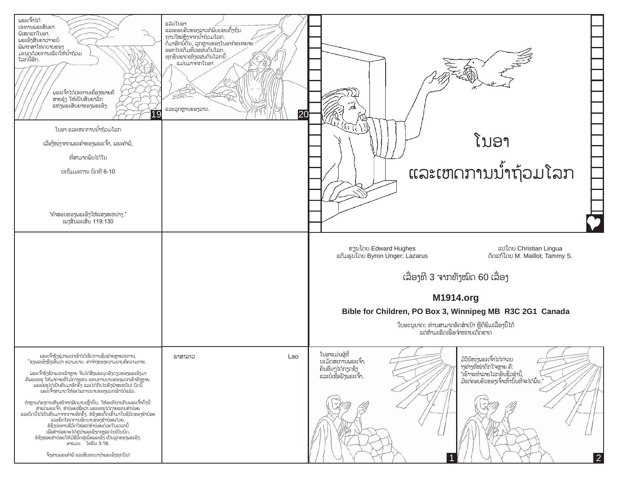